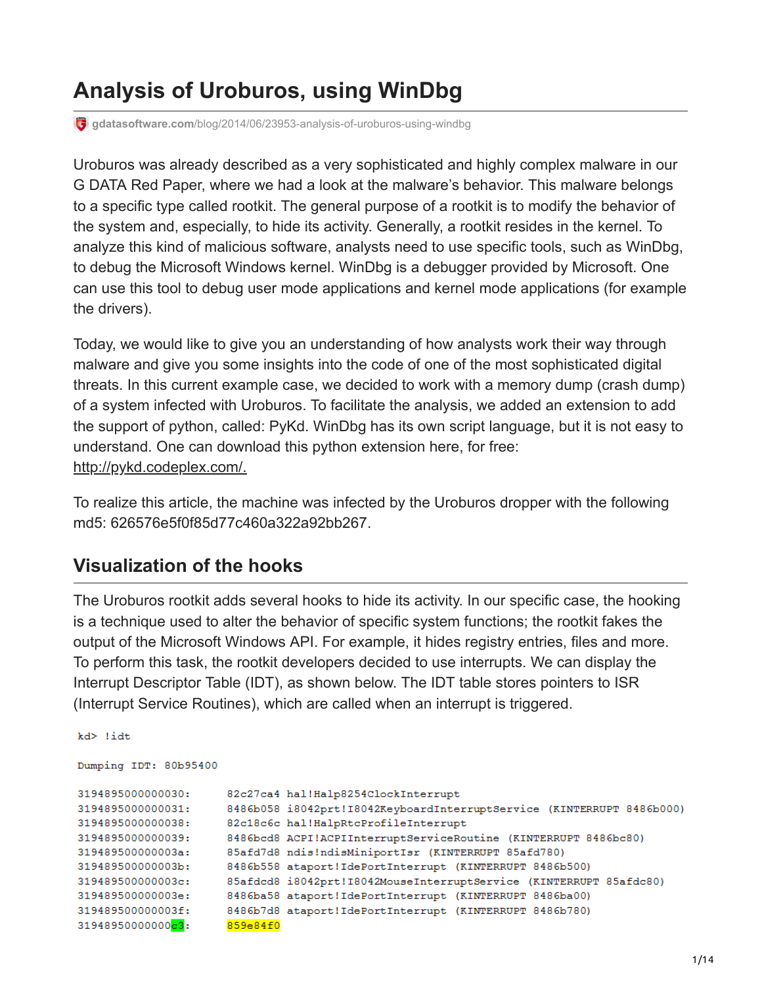# **Analysis of Uroburos, using WinDbg**

**gdatasoftware.com**[/blog/2014/06/23953-analysis-of-uroburos-using-windbg](https://www.gdatasoftware.com/blog/2014/06/23953-analysis-of-uroburos-using-windbg)

Uroburos was already described as a very sophisticated and highly complex malware in our G DATA Red Paper, where we had a look at the malware's behavior. This malware belongs to a specific type called rootkit. The general purpose of a rootkit is to modify the behavior of the system and, especially, to hide its activity. Generally, a rootkit resides in the kernel. To analyze this kind of malicious software, analysts need to use specific tools, such as WinDbg, to debug the Microsoft Windows kernel. WinDbg is a debugger provided by Microsoft. One can use this tool to debug user mode applications and kernel mode applications (for example the drivers).

Today, we would like to give you an understanding of how analysts work their way through malware and give you some insights into the code of one of the most sophisticated digital threats. In this current example case, we decided to work with a memory dump (crash dump) of a system infected with Uroburos. To facilitate the analysis, we added an extension to add the support of python, called: PyKd. WinDbg has its own script language, but it is not easy to understand. One can download this python extension here, for free: [http://pykd.codeplex.com/.](http://pykd.codeplex.com/)

To realize this article, the machine was infected by the Uroburos dropper with the following md5: 626576e5f0f85d77c460a322a92bb267.

### **Visualization of the hooks**

The Uroburos rootkit adds several hooks to hide its activity. In our specific case, the hooking is a technique used to alter the behavior of specific system functions; the rootkit fakes the output of the Microsoft Windows API. For example, it hides registry entries, files and more. To perform this task, the rootkit developers decided to use interrupts. We can display the Interrupt Descriptor Table (IDT), as shown below. The IDT table stores pointers to ISR (Interrupt Service Routines), which are called when an interrupt is triggered.

```
kd> !idt
Dumping IDT: 80b95400
3194895000000030:
                      82c27ca4 hal!Halp8254ClockInterrupt
3194895000000031:
                      8486b058 i8042prt!I8042KeyboardInterruptService (KINTERRUPT 8486b000)
3194895000000038:
                      82c18c6c hal!HalpRtcProfileInterrupt
3194895000000039:
                      8486bcd8 ACPI!ACPIInterruptServiceRoutine (KINTERRUPT 8486bc80)
319489500000003a:
                      85afd7d8 ndis!ndisMiniportIsr (KINTERRUPT 85afd780)
319489500000003b:
                      8486b558 ataport!IdePortInterrupt (KINTERRUPT 8486b500)
319489500000003c:
                      85afdcd8 i8042prt!I8042MouseInterruptService (KINTERRUPT 85afdc80)
319489500000003e:
                      8486ba58 ataport!IdePortInterrupt (KINTERRUPT 8486ba00)
319489500000003f:
                      8486b7d8 ataport!IdePortInterrupt (KINTERRUPT 8486b780)
                      859e84f0
31948950000000c3:
```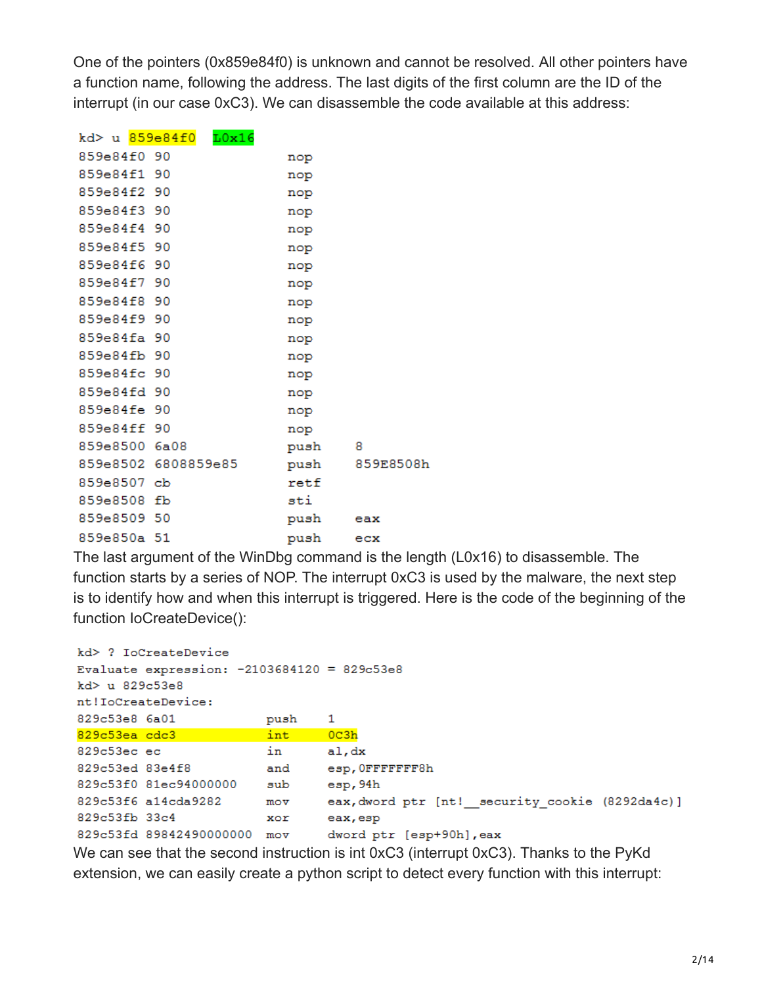One of the pointers (0x859e84f0) is unknown and cannot be resolved. All other pointers have a function name, following the address. The last digits of the first column are the ID of the interrupt (in our case 0xC3). We can disassemble the code available at this address:

| kd> u 859e84f0 | L0x16               |               |           |
|----------------|---------------------|---------------|-----------|
| 859e84f0 90    |                     | nop           |           |
| 859e84f1 90    |                     | nop           |           |
| 859e84f2 90    |                     | nop           |           |
| 859e84f3 90    |                     | nop           |           |
| 859e84f4 90    |                     | nop           |           |
| 859e84f5 90    |                     | nop           |           |
| 859e84f6 90    |                     | nop           |           |
| 859e84f7 90    |                     | nop           |           |
| 859e84f8 90    |                     | nop           |           |
| 859e84f9 90    |                     | nop           |           |
| 859e84fa 90    |                     | nop           |           |
| 859e84fb 90    |                     | nop           |           |
| 859e84fc 90    |                     | nop           |           |
| 859e84fd 90    |                     | nop           |           |
| 859e84fe 90    |                     | nop           |           |
| 859e84ff 90    |                     | nop           |           |
| 859e8500 6a08  |                     | push 8        |           |
|                | 859e8502 6808859e85 | push          | 859E8508h |
| 859e8507 cb    |                     | $_{\rm retf}$ |           |
| 859e8508 fb    |                     | sti           |           |
| 859e8509 50    |                     | push          | eax       |
| 859e850a 51    |                     | push          | ecx       |

The last argument of the WinDbg command is the length (L0x16) to disassemble. The function starts by a series of NOP. The interrupt 0xC3 is used by the malware, the next step is to identify how and when this interrupt is triggered. Here is the code of the beginning of the function IoCreateDevice():

```
kd> ? IoCreateDevice
Evaluate expression: -2103684120 = 829c53e8kd> u 829c53e8
nt!IoCreateDevice:
829c53e8 6a01
                       push
                               \mathbf{1}int
                              0c3h829c53ea cdc3829c53ec ec
                       in
                               al, dx
829c53ed 83e4f8
                       and
                               esp, OFFFFFFF8h
829c53f0 81ec94000000 sub
                             esp,94h
829c53f6 a14cda9282
                               eax, dword ptr [nt!_security_cookie (8292da4c)]
                       m \circ v829c53fb 33c4
                               eax, esp
                        xor
829c53fd 89842490000000 mov
                               dword ptr [esp+90h], eax
```
We can see that the second instruction is int 0xC3 (interrupt 0xC3). Thanks to the PyKd extension, we can easily create a python script to detect every function with this interrupt: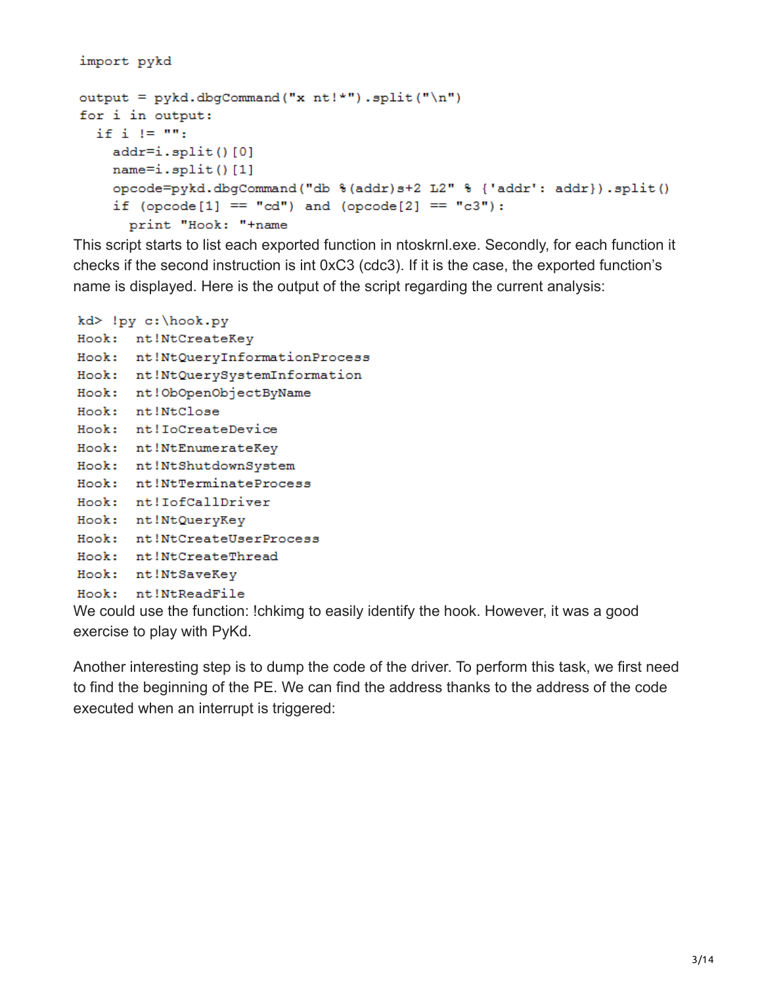```
import pykd
output = pykd.dbgCommand("x nt!*").split("\n")
for i in output:
 if i != "":
    addr= i.split() [0]name=i.split() [1]opcode=pykd.dbgCommand("db %(addr)s+2 L2" % {'addr': addr}).split()
    if (openel] == "cd") and (procedure[2] == "c3"):
      print "Hook: "+name
```
This script starts to list each exported function in ntoskrnl.exe. Secondly, for each function it checks if the second instruction is int 0xC3 (cdc3). If it is the case, the exported function's name is displayed. Here is the output of the script regarding the current analysis:

```
kd> !py c:\hook.py
Hook: nt!NtCreateKey
Hook: nt!NtQueryInformationProcess
Hook: nt!NtQuerySystemInformation
Hook: nt!ObOpenObjectByName
Hook: nt!NtClose
Hook: nt!IoCreateDevice
Hook: nt!NtEnumerateKey
Hook: nt!NtShutdownSystem
Hook: nt!NtTerminateProcess
Hook: nt!IofCallDriver
Hook: nt!NtQueryKey
Hook: nt!NtCreateUserProcess
Hook: nt!NtCreateThread
Hook: nt!NtSaveKey
Hook: nt!NtReadFile
```
We could use the function: !chkimg to easily identify the hook. However, it was a good exercise to play with PyKd.

Another interesting step is to dump the code of the driver. To perform this task, we first need to find the beginning of the PE. We can find the address thanks to the address of the code executed when an interrupt is triggered: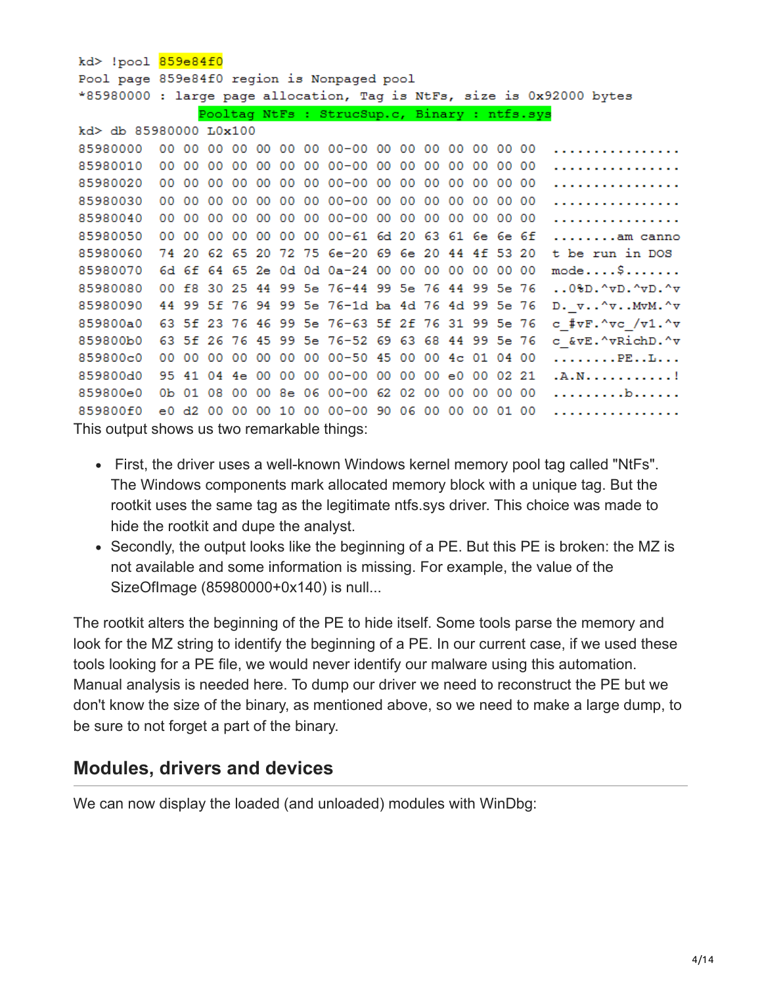#### kd> !pool 859e84f0 Pool page 859e84f0 region is Nonpaged pool \*85980000 : large page allocation, Tag is NtFs, size is 0x92000 bytes Pooltag NtFs : StrucSup.c, Binary : ntfs.sys

| $kd$ db 85980000 L0x100                     |  |  |  |  |  |  |                                                  |  |  |  |                                                         |
|---------------------------------------------|--|--|--|--|--|--|--------------------------------------------------|--|--|--|---------------------------------------------------------|
| 85980000                                    |  |  |  |  |  |  |                                                  |  |  |  | .                                                       |
| 85980010                                    |  |  |  |  |  |  |                                                  |  |  |  | .                                                       |
| 85980020                                    |  |  |  |  |  |  |                                                  |  |  |  | .                                                       |
| 85980030                                    |  |  |  |  |  |  |                                                  |  |  |  | .                                                       |
| 85980040                                    |  |  |  |  |  |  |                                                  |  |  |  | . <b>.</b> .                                            |
| 85980050                                    |  |  |  |  |  |  | 00 00 00 00 00 00 00 00-61 6d 20 63 61 6e 6e 6f  |  |  |  | am canno                                                |
| 85980060                                    |  |  |  |  |  |  | 74 20 62 65 20 72 75 6e-20 69 6e 20 44 4f 53 20  |  |  |  | t be run in DOS                                         |
| 85980070                                    |  |  |  |  |  |  | 6d 6f 64 65 2e 0d 0d 0a-24 00 00 00 00 00 00 00  |  |  |  | $mode \ldots$                                           |
| 85980080                                    |  |  |  |  |  |  | 00 f8 30 25 44 99 5e 76-44 99 5e 76 44 99 5e 76  |  |  |  | $.08D.^{\prime}VD.^{\prime}VD.^{\prime}v$               |
| 85980090                                    |  |  |  |  |  |  | 44 99 5f 76 94 99 5e 76-1d ba 4d 76 4d 99 5e 76  |  |  |  | $D. v. . ^\sigma. . ^\sigma. ^\sigma. ^\sigma. ^\sigma$ |
| 859800a0                                    |  |  |  |  |  |  | 63 5f 23 76 46 99 5e 76-63 5f 2f 76 31 99 5e 76  |  |  |  | c #vF.^vc /v1.^v                                        |
| 859800b0                                    |  |  |  |  |  |  | 63 5f 26 76 45 99 5e 76-52 69 63 68 44 99 5e 76  |  |  |  | c &vE.^vRichD.^v                                        |
| 859800c0                                    |  |  |  |  |  |  | 00 00 00 00 00 00 00 00 -50 45 00 00 4c 01 04 00 |  |  |  | $\ldots$ PE $\ldots$ L                                  |
| 859800d0                                    |  |  |  |  |  |  | 95 41 04 4e 00 00 00 00-00 00 00 00 e0 00 02 21  |  |  |  | . A . N !                                               |
| 859800e0                                    |  |  |  |  |  |  | 0b 01 08 00 00 8e 06 00-00 62 02 00 00 00 00 00  |  |  |  | . b                                                     |
| 859800f0                                    |  |  |  |  |  |  |                                                  |  |  |  | .                                                       |
| This output shows us two remarkable things: |  |  |  |  |  |  |                                                  |  |  |  |                                                         |

- First, the driver uses a well-known Windows kernel memory pool tag called "NtFs". The Windows components mark allocated memory block with a unique tag. But the rootkit uses the same tag as the legitimate ntfs.sys driver. This choice was made to hide the rootkit and dupe the analyst.
- Secondly, the output looks like the beginning of a PE. But this PE is broken: the MZ is not available and some information is missing. For example, the value of the SizeOfImage (85980000+0x140) is null...

The rootkit alters the beginning of the PE to hide itself. Some tools parse the memory and look for the MZ string to identify the beginning of a PE. In our current case, if we used these tools looking for a PE file, we would never identify our malware using this automation. Manual analysis is needed here. To dump our driver we need to reconstruct the PE but we don't know the size of the binary, as mentioned above, so we need to make a large dump, to be sure to not forget a part of the binary.

#### **Modules, drivers and devices**

We can now display the loaded (and unloaded) modules with WinDbg: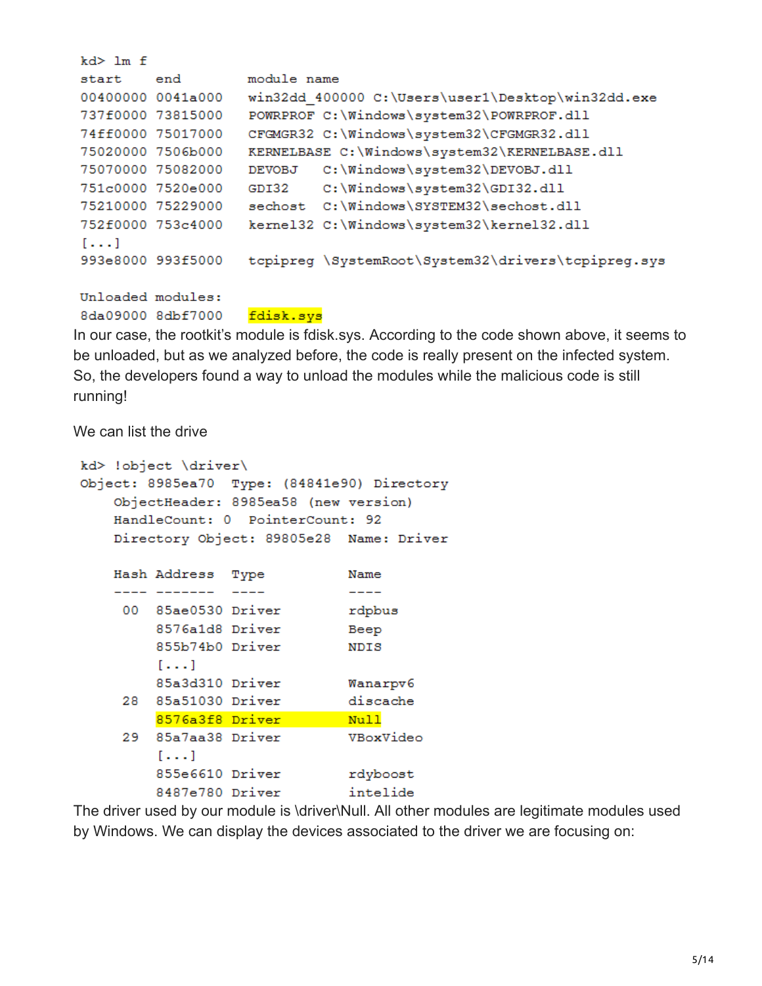| $kd$ $>$ $lm$ $f$                    |                                                    |
|--------------------------------------|----------------------------------------------------|
| $\hspace{15pt}\texttt{end}$<br>start | module name                                        |
| 00400000 0041a000                    | win32dd 400000 C:\Users\user1\Desktop\win32dd.exe  |
| 737f0000 73815000                    | POWRPROF C: \Windows\system32\POWRPROF.dll         |
| 74ff0000 75017000                    | CFGMGR32 C:\Windows\system32\CFGMGR32.dll          |
| 75020000 7506b000                    | KERNELBASE C:\Windows\system32\KERNELBASE.dll      |
| 75070000 75082000                    | C:\Windows\system32\DEVOBJ.dll<br>DEVOBJ           |
| 751c0000 7520e000                    | C:\Windows\system32\GDI32.dll<br>GDI32             |
| 75210000 75229000                    | sechost C:\Windows\SYSTEM32\sechost.dll            |
| 752f0000 753c4000                    | kernel32 C:\Windows\system32\kernel32.dll          |
| $[\ldots]$                           |                                                    |
| 993e8000 993f5000                    | tcpipreg \SystemRoot\System32\drivers\tcpipreg.sys |
|                                      |                                                    |

Unloaded modules: 8da09000 8dbf7000

fdisk.sys

In our case, the rootkit's module is fdisk.sys. According to the code shown above, it seems to be unloaded, but as we analyzed before, the code is really present on the infected system. So, the developers found a way to unload the modules while the malicious code is still running!

We can list the drive

```
kd> !object \driver\
Object: 8985ea70 Type: (84841e90) Directory
    ObjectHeader: 8985ea58 (new version)
   HandleCount: 0 PointerCount: 92
    Directory Object: 89805e28 Name: Driver
   Hash Address Type
                                Name
                                \frac{1}{2}---- -------
                  ---00 85ae0530 Driver
                                rdpbus
         8576a1d8 Driver
                                Beep
         855b74b0 Driver
                                NDIS
         [\ldots]85a3d310 Driver
                                Wanarpv6
     28 85a51030 Driver
                                discache
         8576a3f8 Driver
                                Null
     29 85a7aa38 Driver
                                VBoxVideo
         [\ldots]855e6610 Driver
                                rdyboost
         8487e780 Driver
                                intelide
```
The driver used by our module is \driver\Null. All other modules are legitimate modules used by Windows. We can display the devices associated to the driver we are focusing on: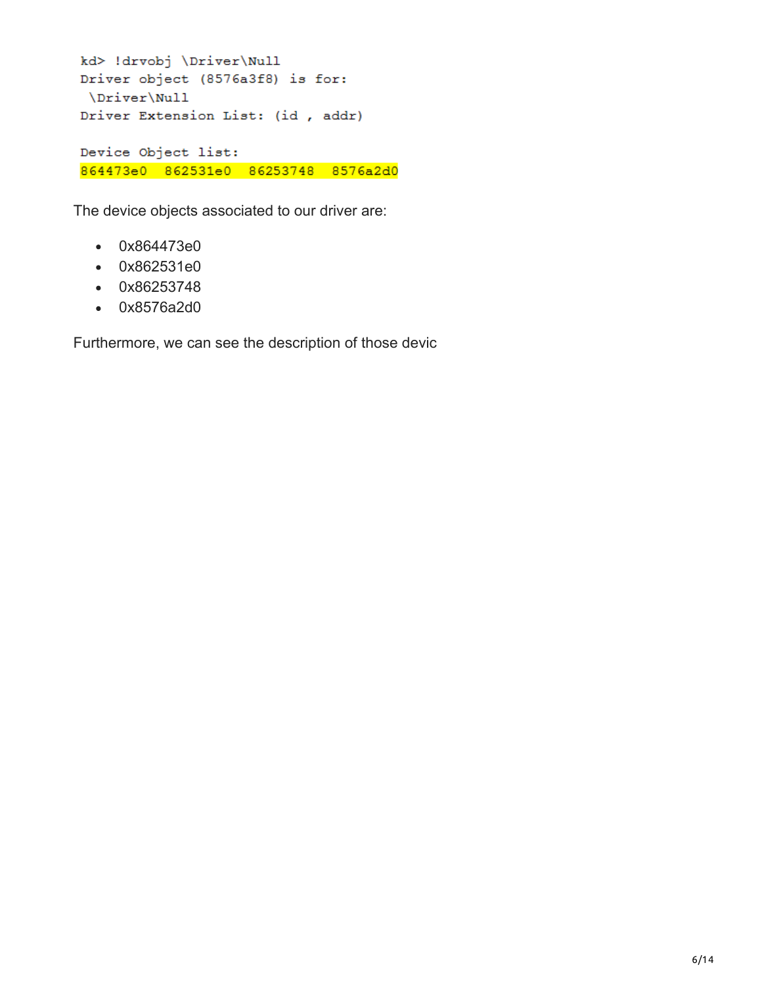```
kd> !drvobj \Driver\Null
Driver object (8576a3f8) is for:
\Driver\Null
Driver Extension List: (id , addr)
Device Object list:
864473e0 862531e0 86253748 8576a2d0
```
The device objects associated to our driver are:

- 0x864473e0
- 0x862531e0
- 0x86253748
- 0x8576a2d0

Furthermore, we can see the description of those devic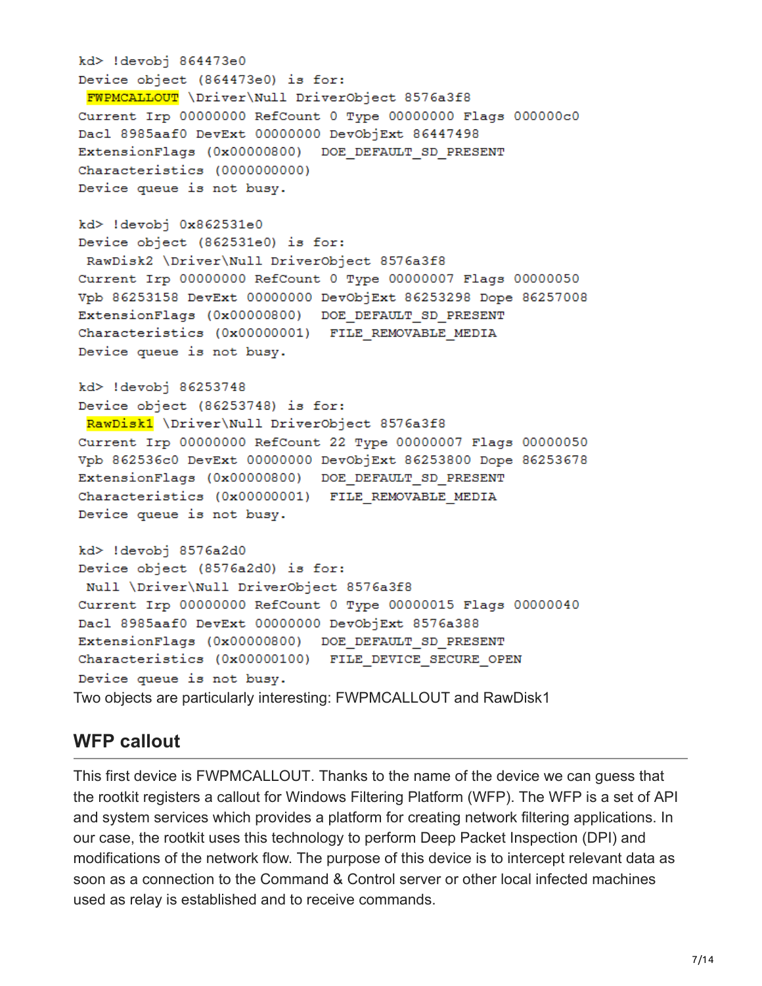```
kd> !devobj 864473e0
Device object (864473e0) is for:
 FWPMCALLOUT \Driver\Null DriverObject 8576a3f8
Current Irp 00000000 RefCount 0 Type 00000000 Flags 000000c0
Dacl 8985aaf0 DevExt 00000000 DevObjExt 86447498
ExtensionFlags (0x00000800) DOE DEFAULT SD PRESENT
Characteristics (0000000000)
Device queue is not busy.
```

```
kd> !devobj 0x862531e0
Device object (862531e0) is for:
RawDisk2 \Driver\Null DriverObject 8576a3f8
Current Irp 00000000 RefCount 0 Type 00000007 Flags 00000050
Vpb 86253158 DevExt 00000000 DevObjExt 86253298 Dope 86257008
ExtensionFlags (0x00000800) DOE DEFAULT SD PRESENT
Characteristics (0x00000001) FILE REMOVABLE MEDIA
Device queue is not busy.
```

```
kd> !devobj 86253748
Device object (86253748) is for:
 RawDisk1 \Driver\Null DriverObject 8576a3f8
Current Irp 00000000 RefCount 22 Type 00000007 Flags 00000050
Vpb 862536c0 DevExt 00000000 DevObjExt 86253800 Dope 86253678
ExtensionFlags (0x00000800) DOE DEFAULT SD PRESENT
Characteristics (0x00000001) FILE REMOVABLE MEDIA
Device queue is not busy.
```

```
kd> !devobj 8576a2d0
Device object (8576a2d0) is for:
 Null \Driver\Null DriverObject 8576a3f8
Current Irp 00000000 RefCount 0 Type 00000015 Flags 00000040
Dacl 8985aaf0 DevExt 00000000 DevObjExt 8576a388
ExtensionFlags (0x00000800) DOE DEFAULT SD PRESENT
Characteristics (0x00000100) FILE DEVICE SECURE OPEN
Device queue is not busy.
Two objects are particularly interesting: FWPMCALLOUT and RawDisk1
```
#### **WFP callout**

This first device is FWPMCALLOUT. Thanks to the name of the device we can guess that the rootkit registers a callout for Windows Filtering Platform (WFP). The WFP is a set of API and system services which provides a platform for creating network filtering applications. In our case, the rootkit uses this technology to perform Deep Packet Inspection (DPI) and modifications of the network flow. The purpose of this device is to intercept relevant data as soon as a connection to the Command & Control server or other local infected machines used as relay is established and to receive commands.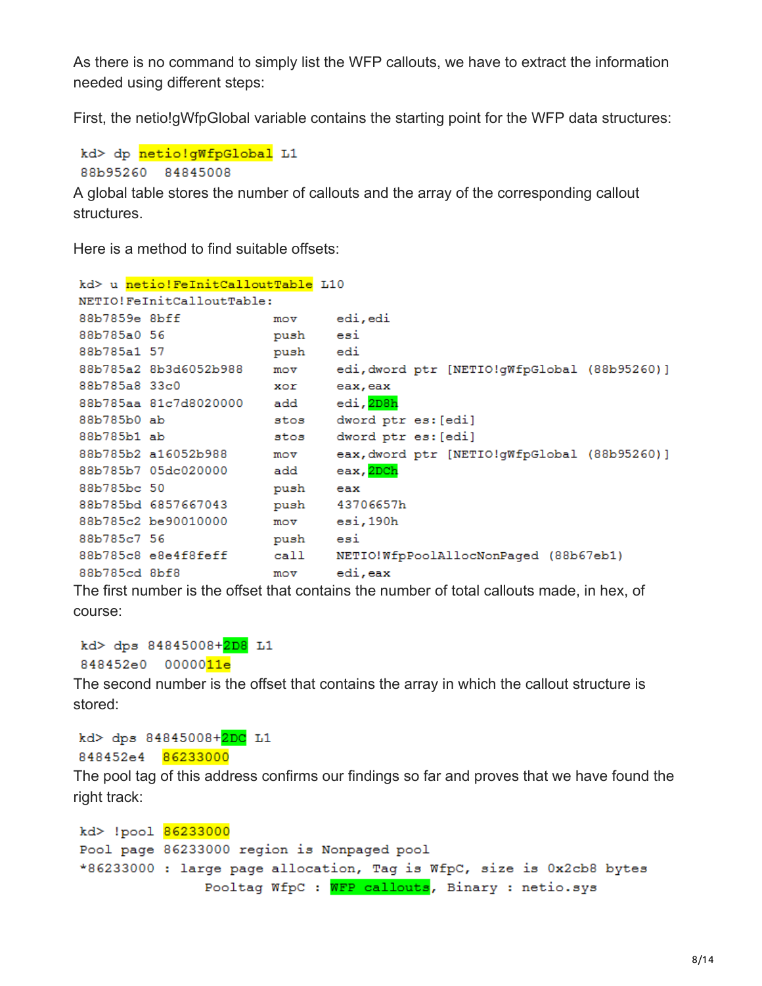As there is no command to simply list the WFP callouts, we have to extract the information needed using different steps:

First, the netio!gWfpGlobal variable contains the starting point for the WFP data structures:

```
kd> dp netio!qWfpGlobal L1
88b95260 84845008
```
A global table stores the number of callouts and the array of the corresponding callout structures.

Here is a method to find suitable offsets:

```
kd> u netio!FeInitCalloutTable L10
NETIO!FeInitCalloutTable:
88b7859e 8bff
                               edi,edi
                       movpush
88b785a0 56
                               esi
                       push edi
88b785a1 57
88b785a2 8b3d6052b988 mov
                              edi, dword ptr [NETIO!gWfpGlobal (88b95260)]
88b785a8 33c0
                       xor
                              eax, eax
88b785aa 81c7d8020000 add
                              edi, <mark>2D8h</mark>
                       stos dword ptr es: [edi]
88b785b0 ab
88b785b1 ab
                       stos dword ptr es: [edi]
88b785b2 a16052b988 mov
                              eax, dword ptr [NETIO!gWfpGlobal (88b95260)]
88b785b7 05dc020000
                       add
                               eax, <mark>2DCh</mark>
88b785bc 50
                              eax
                       push
88b785bd 6857667043 push<br>88b785c2 be90010000 mov
                              43706657h
                              esi,190h
                               esi
88b785c7 56
                       push
88b785c8 e8e4f8feff call NETIO!WfpPoolAllocNonPaged (88b67eb1)
88b785cd 8bf8
                        m \circ vedi, eax
```
The first number is the offset that contains the number of total callouts made, in hex, of course:

```
kd> dps 84845008+2D8 L1
848452e0 0000011e
```
The second number is the offset that contains the array in which the callout structure is stored:

```
kd> dps 84845008+2DC L1
848452e4 86233000
```
The pool tag of this address confirms our findings so far and proves that we have found the right track:

```
kd> !pool 86233000
Pool page 86233000 region is Nonpaged pool
*86233000 : large page allocation, Tag is WfpC, size is 0x2cb8 bytes
               Pooltag WfpC : WFP callouts, Binary : netio.sys
```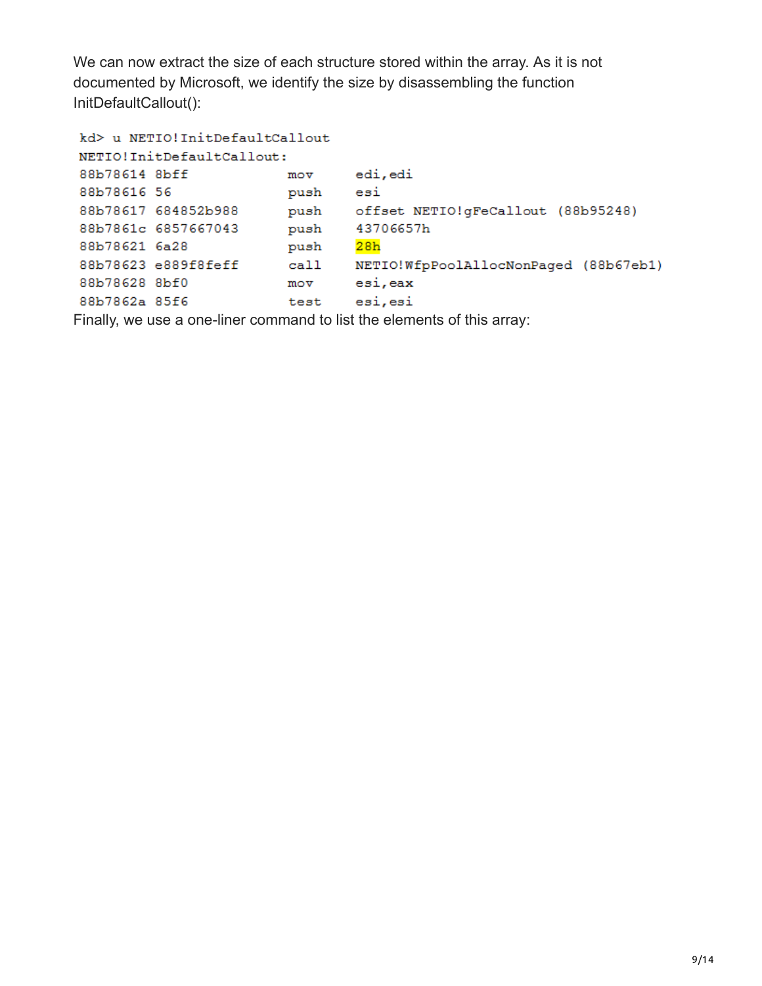We can now extract the size of each structure stored within the array. As it is not documented by Microsoft, we identify the size by disassembling the function InitDefaultCallout():

```
kd> u NETIO!InitDefaultCallout
NETIO!InitDefaultCallout:
88b78614 8bff
                               edi,edi
                        m \circ v88b78616 56
                       push
                               esi
88b78617 684852b988
                       push
                               offset NETIO!gFeCallout (88b95248)
88b7861c 6857667043
                               43706657h
                        push
88b78621 6a28
                               28hpush
88b78623 e889f8feff
                               NETIO!WfpPoolAllocNonPaged (88b67eb1)
                        _{\rm{call}}88b78628 8bf0
                        m \circ vesi, eax
88b7862a 85f6
                               esi, esi
                        test
```
Finally, we use a one-liner command to list the elements of this array: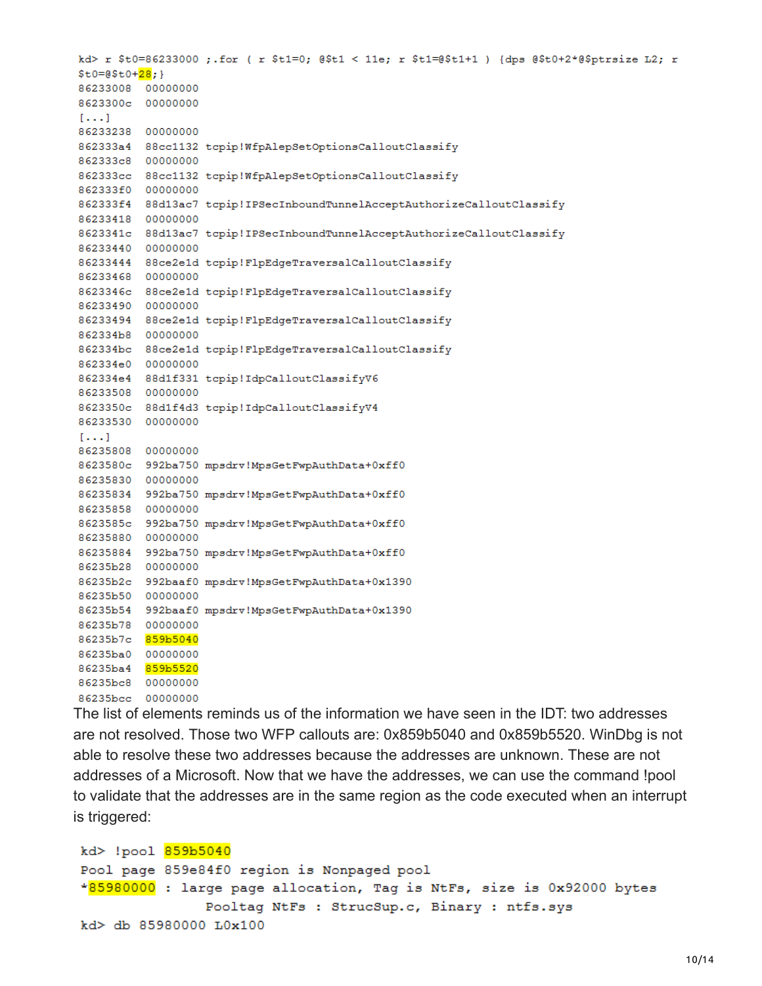kd> r \$t0=86233000 ;.for ( r \$t1=0; @\$t1 < 11e; r \$t1=@\$t1+1 ) {dps @\$t0+2\*@\$ptrsize L2; r  $$t0=0$t0+28;$ 86233008 00000000 8623300c 00000000  $[\ldots]$ 86233238 00000000 862333a4 88cc1132 tcpip!WfpAlepSetOptionsCalloutClassify 862333c8 00000000 862333cc 88cc1132 tcpip!WfpAlepSetOptionsCalloutClassify 862333f0 00000000 862333f4 88d13ac7 tcpip!IPSecInboundTunnelAcceptAuthorizeCalloutClassify 86233418 00000000 8623341c 88d13ac7 tcpip!IPSecInboundTunnelAcceptAuthorizeCalloutClassify 86233440 00000000 86233444 88ce2e1d tcpip!FlpEdgeTraversalCalloutClassify 86233468 00000000 8623346c 88ce2e1d tcpip!FlpEdgeTraversalCalloutClassify 86233490 00000000 86233494 88ce2e1d tcpip!FlpEdgeTraversalCalloutClassify 862334b8 00000000 862334bc 88ce2e1d tcpip!FlpEdgeTraversalCalloutClassify 862334e0 00000000 862334e4 88d1f331 tcpip!IdpCalloutClassifyV6 86233508 00000000 8623350c 88d1f4d3 tcpip!IdpCalloutClassifyV4 86233530 00000000  $1.1.1$ 86235808 00000000 8623580c 992ba750 mpsdrv!MpsGetFwpAuthData+0xff0 86235830 00000000 86235834 992ba750 mpsdrv!MpsGetFwpAuthData+0xff0 86235858 00000000 8623585c 992ba750 mpsdrv!MpsGetFwpAuthData+0xff0 86235880 00000000 86235884 992ba750 mpsdrv!MpsGetFwpAuthData+0xff0 86235b28 00000000 86235b2c 992baaf0 mpsdrv!MpsGetFwpAuthData+0x1390 86235b50 00000000 86235b54 992baaf0 mpsdrv!MpsGetFwpAuthData+0x1390 86235b78 00000000 86235b7c 859b5040 86235ba0 00000000 86235ba4 859b5520 86235bc8 00000000 86235bcc 00000000

The list of elements reminds us of the information we have seen in the IDT: two addresses are not resolved. Those two WFP callouts are: 0x859b5040 and 0x859b5520. WinDbg is not able to resolve these two addresses because the addresses are unknown. These are not addresses of a Microsoft. Now that we have the addresses, we can use the command !pool to validate that the addresses are in the same region as the code executed when an interrupt is triggered:

kd> !pool 859b5040 Pool page 859e84f0 region is Nonpaged pool \*85980000 : large page allocation, Tag is NtFs, size is 0x92000 bytes Pooltag NtFs : StrucSup.c, Binary : ntfs.sys kd> db 85980000 L0x100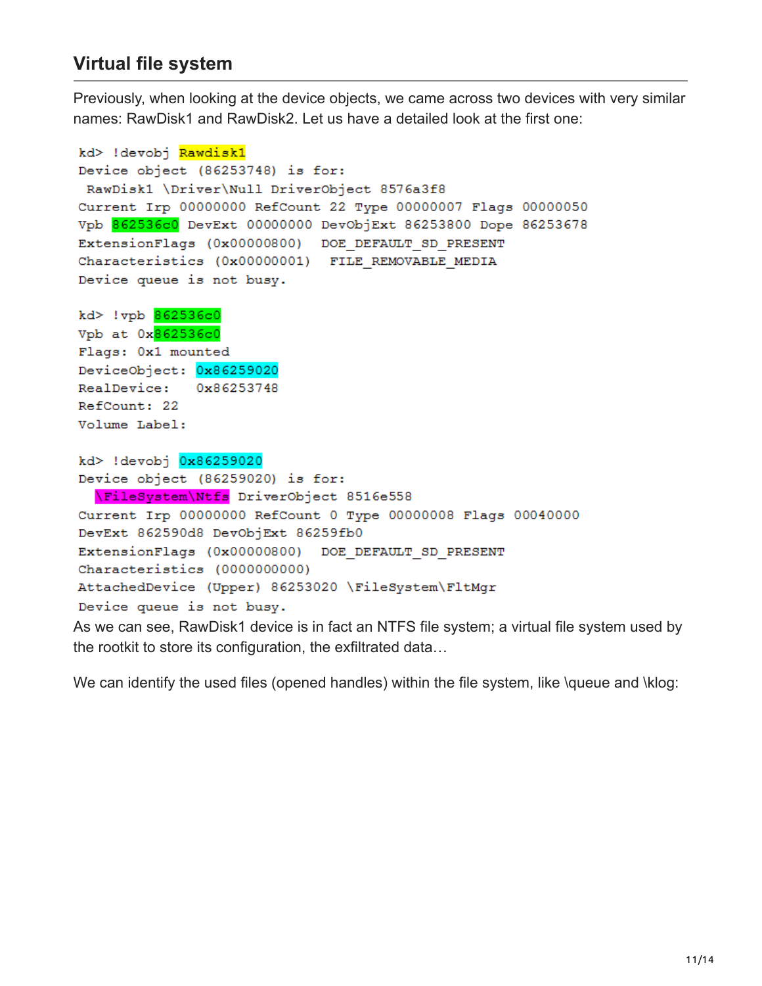### **Virtual file system**

Previously, when looking at the device objects, we came across two devices with very similar names: RawDisk1 and RawDisk2. Let us have a detailed look at the first one:

```
kd> !devobj Rawdisk1
Device object (86253748) is for:
 RawDisk1 \Driver\Null DriverObject 8576a3f8
Current Irp 00000000 RefCount 22 Type 00000007 Flags 00000050
Vpb 862536c0 DevExt 00000000 DevObjExt 86253800 Dope 86253678
ExtensionFlags (0x00000800) DOE DEFAULT SD PRESENT
Characteristics (0x00000001) FILE REMOVABLE MEDIA
Device queue is not busy.
kd> !vpb 862536c0
Vpb at 0x862536c0
Flags: 0x1 mounted
DeviceObject: 0x86259020
RealDevice:
             0x86253748
RefCount: 22
Volume Label:
kd> !devobj 0x86259020
Device object (86259020) is for:
  \FileSystem\Ntfs DriverObject 8516e558
Current Irp 00000000 RefCount 0 Type 00000008 Flags 00040000
DevExt 862590d8 DevObjExt 86259fb0
ExtensionFlags (0x00000800) DOE DEFAULT SD PRESENT
Characteristics (0000000000)
AttachedDevice (Upper) 86253020 \FileSystem\FltMgr
Device queue is not busy.
```
As we can see, RawDisk1 device is in fact an NTFS file system; a virtual file system used by the rootkit to store its configuration, the exfiltrated data…

We can identify the used files (opened handles) within the file system, like \queue and \klog: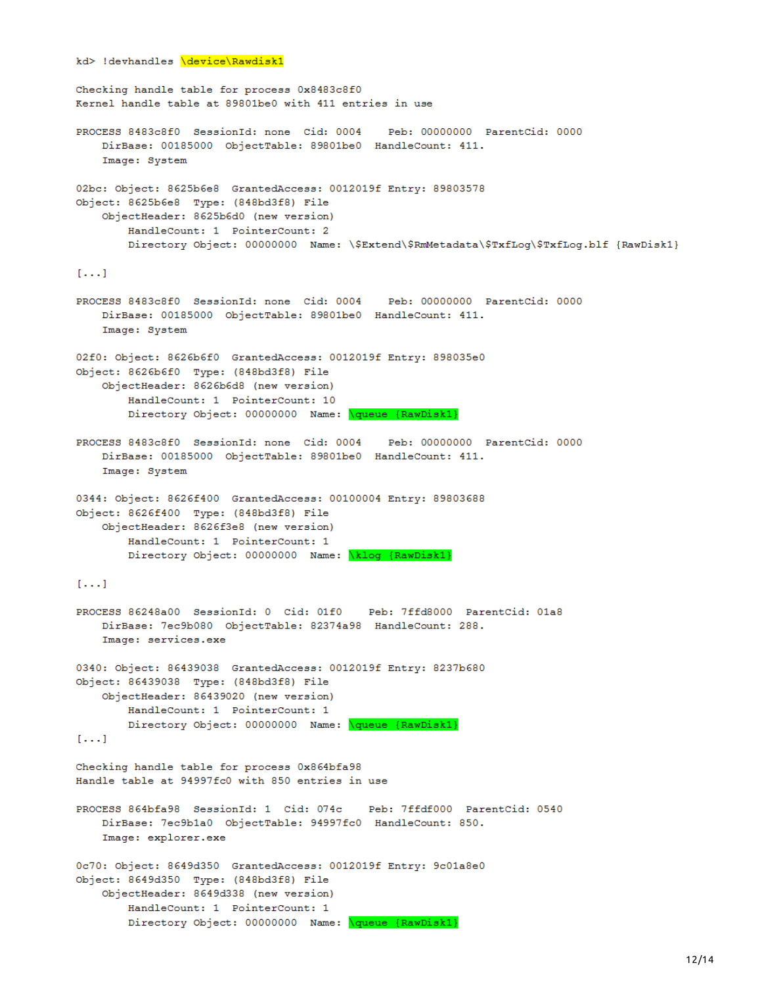```
kd> !devhandles \device\Rawdisk1
Checking handle table for process 0x8483c8f0
Kernel handle table at 89801be0 with 411 entries in use
PROCESS 8483c8f0 SessionId: none Cid: 0004
                                               Peb: 00000000 ParentCid: 0000
   DirBase: 00185000 ObjectTable: 89801be0 HandleCount: 411.
   Image: System
02bc: Object: 8625b6e8 GrantedAccess: 0012019f Entry: 89803578
Object: 8625b6e8 Type: (848bd3f8) File
    ObjectHeader: 8625b6d0 (new version)
       HandleCount: 1 PointerCount: 2
       Directory Object: 00000000 Name: \$Extend\$RmMetadata\$TxfLog\$TxfLog.blf {RawDisk1}
[...]PROCESS 8483c8f0 SessionId: none Cid: 0004 Peb: 00000000 ParentCid: 0000
   DirBase: 00185000 ObjectTable: 89801be0 HandleCount: 411.
   Image: System
02f0: Object: 8626b6f0 GrantedAccess: 0012019f Entry: 898035e0
Object: 8626b6f0 Type: (848bd3f8) File
    ObjectHeader: 8626b6d8 (new version)
        HandleCount: 1 PointerCount: 10
       Directory Object: 00000000 Name: \queue {RawDisk1}
PROCESS 8483c8f0 SessionId: none Cid: 0004
                                             Peb: 00000000 ParentCid: 0000
   DirBase: 00185000 ObjectTable: 89801be0 HandleCount: 411.
    Image: System
0344: Object: 8626f400 GrantedAccess: 00100004 Entry: 89803688
Object: 8626f400 Type: (848bd3f8) File
    ObjectHeader: 8626f3e8 (new version)
       HandleCount: 1 PointerCount: 1
       Directory Object: 00000000 Name: \klog {RawDisk1}
[ . . . ]PROCESS 86248a00 SessionId: 0 Cid: 01f0 Peb: 7ffd8000 ParentCid: 01a8
   DirBase: 7ec9b080 ObjectTable: 82374a98 HandleCount: 288.
   Image: services.exe
0340: Object: 86439038 GrantedAccess: 0012019f Entry: 8237b680
Object: 86439038 Type: (848bd3f8) File
    ObjectHeader: 86439020 (new version)
       HandleCount: 1 PointerCount: 1
       Directory Object: 00000000 Name: \queue {RawDisk1}
[ . . . ]Checking handle table for process 0x864bfa98
Handle table at 94997fc0 with 850 entries in use
                                          Peb: 7ffdf000 ParentCid: 0540
PROCESS 864bfa98 SessionId: 1 Cid: 074c
   DirBase: 7ec9b1a0 ObjectTable: 94997fc0 HandleCount: 850.
   Image: explorer.exe
0c70: Object: 8649d350 GrantedAccess: 0012019f Entry: 9c01a8e0
Object: 8649d350 Type: (848bd3f8) File
   ObjectHeader: 8649d338 (new version)
       HandleCount: 1 PointerCount: 1
       Directory Object: 00000000 Name: \queue {RawDisk1}
```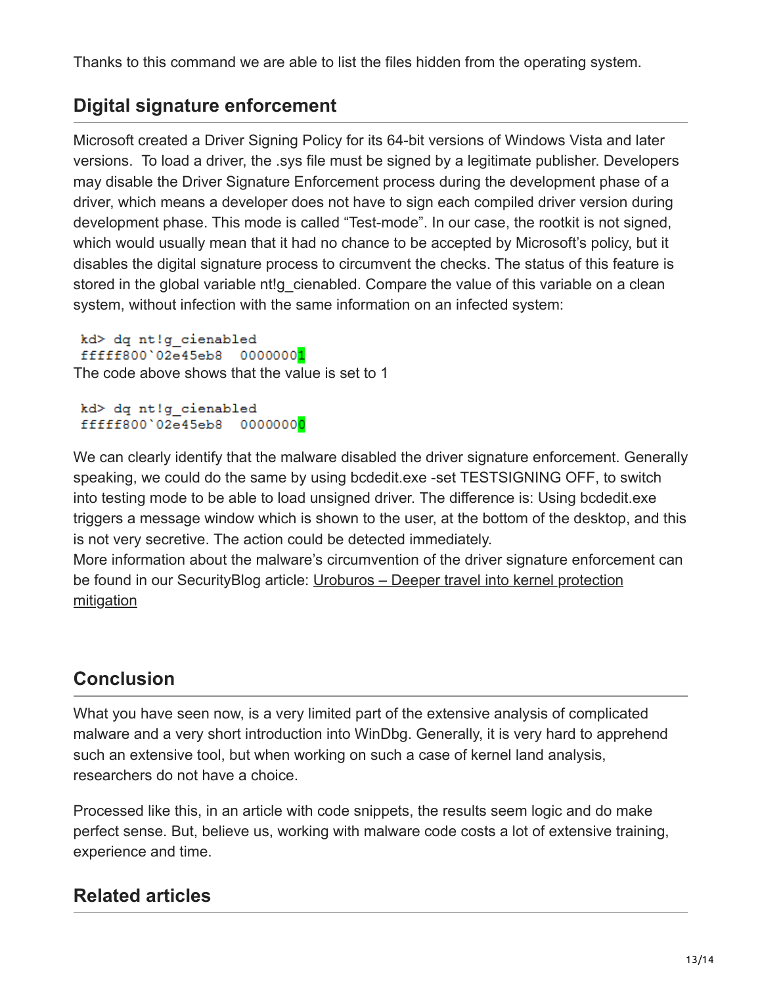Thanks to this command we are able to list the files hidden from the operating system.

## **Digital signature enforcement**

Microsoft created a Driver Signing Policy for its 64-bit versions of Windows Vista and later versions. To load a driver, the .sys file must be signed by a legitimate publisher. Developers may disable the Driver Signature Enforcement process during the development phase of a driver, which means a developer does not have to sign each compiled driver version during development phase. This mode is called "Test-mode". In our case, the rootkit is not signed, which would usually mean that it had no chance to be accepted by Microsoft's policy, but it disables the digital signature process to circumvent the checks. The status of this feature is stored in the global variable nt!g cienabled. Compare the value of this variable on a clean system, without infection with the same information on an infected system:

```
kd> dq nt!g cienabled
fffff800'02e45eb8 00000001
The code above shows that the value is set to 1
```

```
kd> dq nt!g_cienabled
fffff800'02e45eb8 00000000
```
We can clearly identify that the malware disabled the driver signature enforcement. Generally speaking, we could do the same by using bcdedit.exe -set TESTSIGNING OFF, to switch into testing mode to be able to load unsigned driver. The difference is: Using bcdedit.exe triggers a message window which is shown to the user, at the bottom of the desktop, and this is not very secretive. The action could be detected immediately.

More information about the malware's circumvention of the driver signature enforcement can be found in our SecurityBlog article: Uroburos - Deeper travel into kernel protection mitigation

## **Conclusion**

What you have seen now, is a very limited part of the extensive analysis of complicated malware and a very short introduction into WinDbg. Generally, it is very hard to apprehend such an extensive tool, but when working on such a case of kernel land analysis, researchers do not have a choice.

Processed like this, in an article with code snippets, the results seem logic and do make perfect sense. But, believe us, working with malware code costs a lot of extensive training, experience and time.

## **Related articles**